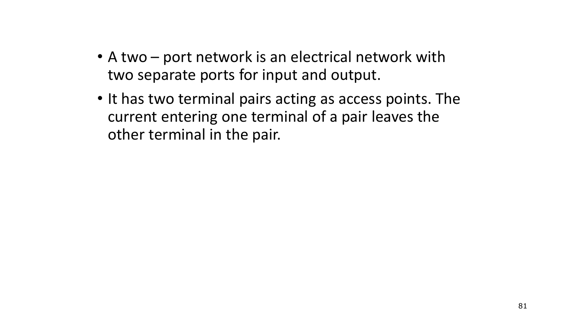- A two port network is an electrical network with two separate ports for input and output.
- It has two terminal pairs acting as access points. The current entering one terminal of a pair leaves the other terminal in the pair.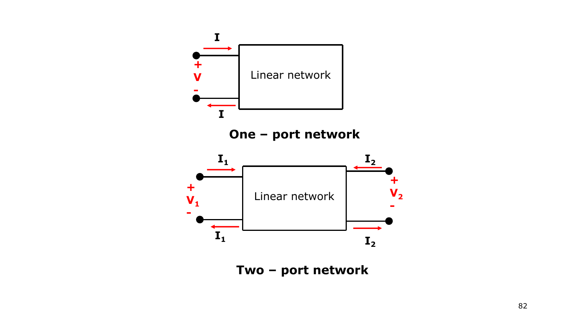

**Two – port network**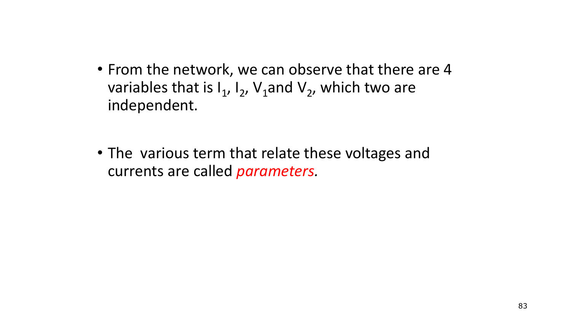- From the network, we can observe that there are 4 variables that is  $I_1$ ,  $I_2$ ,  $V_1$ and  $V_2$ , which two are independent.
- The various term that relate these voltages and currents are called *parameters.*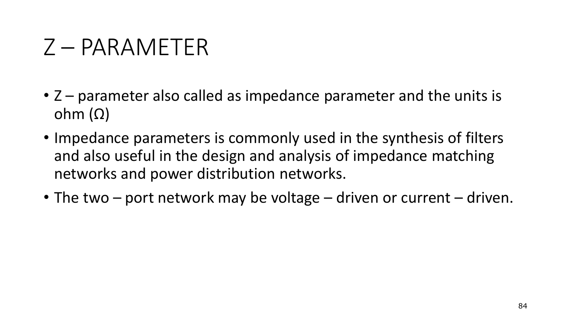## Z – PARAMETER

- Z parameter also called as impedance parameter and the units is ohm  $(Ω)$
- Impedance parameters is commonly used in the synthesis of filters and also useful in the design and analysis of impedance matching networks and power distribution networks.
- The two port network may be voltage driven or current driven.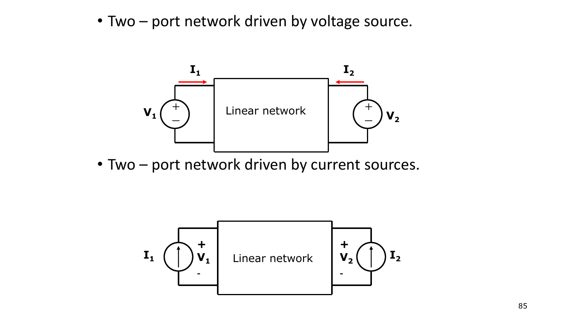• Two – port network driven by voltage source.



• Two – port network driven by current sources.

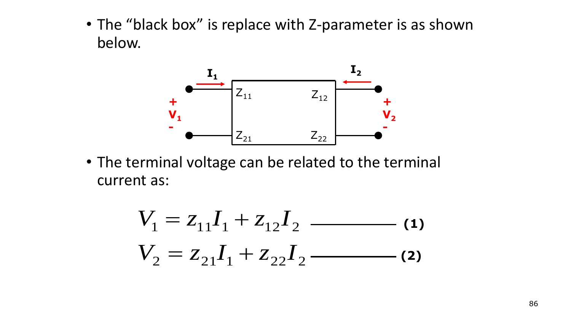• The "black box" is replace with Z-parameter is as shown below.



• The terminal voltage can be related to the terminal current as:

$$
V_1 = z_{11}I_1 + z_{12}I_2
$$
  
\n
$$
V_2 = z_{21}I_1 + z_{22}I_2
$$
 (1)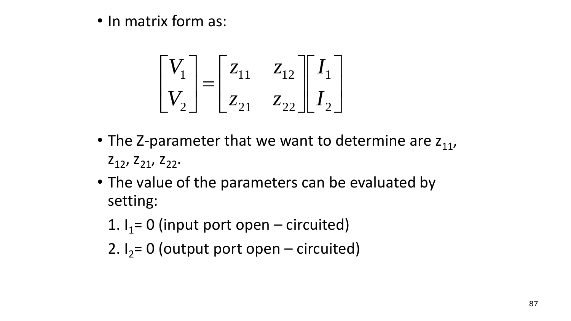• In matrix form as:

$$
\begin{bmatrix} V_1 \\ V_2 \end{bmatrix} = \begin{bmatrix} z_{11} & z_{12} \\ z_{21} & z_{22} \end{bmatrix} \begin{bmatrix} I_1 \\ I_2 \end{bmatrix}
$$

- The Z-parameter that we want to determine are  $z_{11}$ ,  $Z_{12}$ ,  $Z_{21}$ ,  $Z_{22}$ .
- The value of the parameters can be evaluated by setting:
	- 1.  $I_1$  = 0 (input port open circuited)
	- 2.  $I_2 = 0$  (output port open circuited)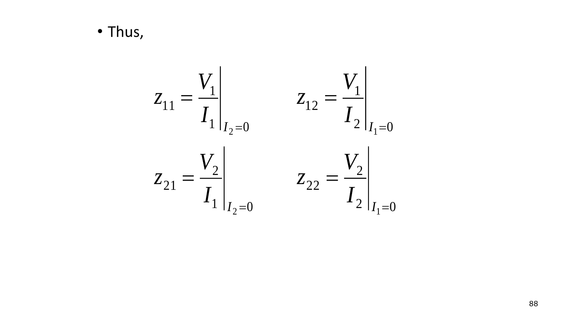· Thus,

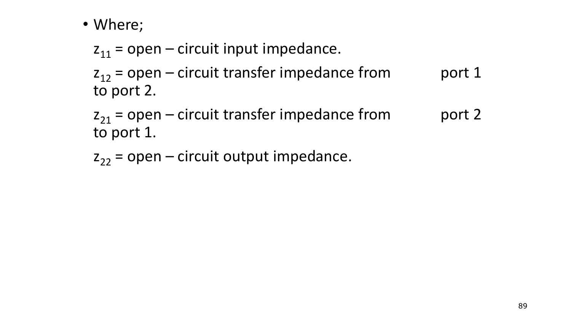## • Where;

 $z_{11}$  = open – circuit input impedance.

 $z_{12}$  = open – circuit transfer impedance from port 1 to port 2.

 $z_{21}$  = open – circuit transfer impedance from port 2 to port 1.

 $z_{22}$  = open – circuit output impedance.